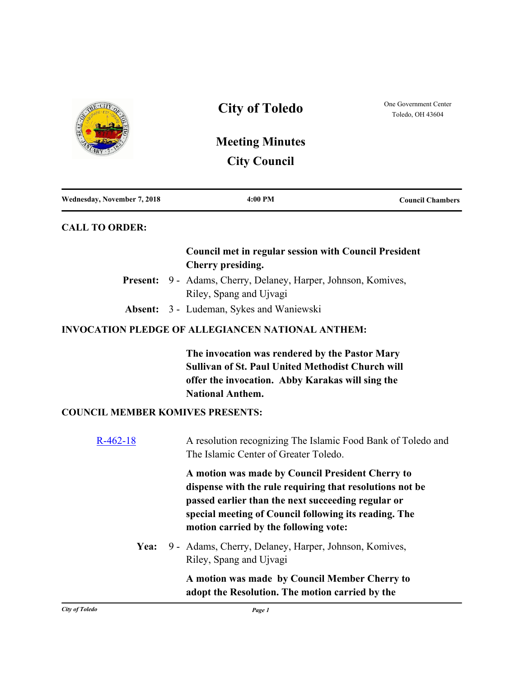

| 4:00 PM | <b>Council Chambers</b> |
|---------|-------------------------|
|         |                         |

## **CALL TO ORDER:**

## **Council met in regular session with Council President Cherry presiding.**

- Present: 9 Adams, Cherry, Delaney, Harper, Johnson, Komives, Riley, Spang and Ujvagi
- **Absent:** 3 Ludeman, Sykes and Waniewski

## **INVOCATION PLEDGE OF ALLEGIANCEN NATIONAL ANTHEM:**

**The invocation was rendered by the Pastor Mary Sullivan of St. Paul United Methodist Church will offer the invocation. Abby Karakas will sing the National Anthem.**

#### **COUNCIL MEMBER KOMIVES PRESENTS:**

| $R-462-18$ | A resolution recognizing The Islamic Food Bank of Toledo and<br>The Islamic Center of Greater Toledo.                                                                                                                                                                |
|------------|----------------------------------------------------------------------------------------------------------------------------------------------------------------------------------------------------------------------------------------------------------------------|
|            | A motion was made by Council President Cherry to<br>dispense with the rule requiring that resolutions not be<br>passed earlier than the next succeeding regular or<br>special meeting of Council following its reading. The<br>motion carried by the following vote: |
| Yea:       | 9 - Adams, Cherry, Delaney, Harper, Johnson, Komives,<br>Riley, Spang and Ujvagi                                                                                                                                                                                     |
|            | A motion was made by Council Member Cherry to<br>adopt the Resolution. The motion carried by the                                                                                                                                                                     |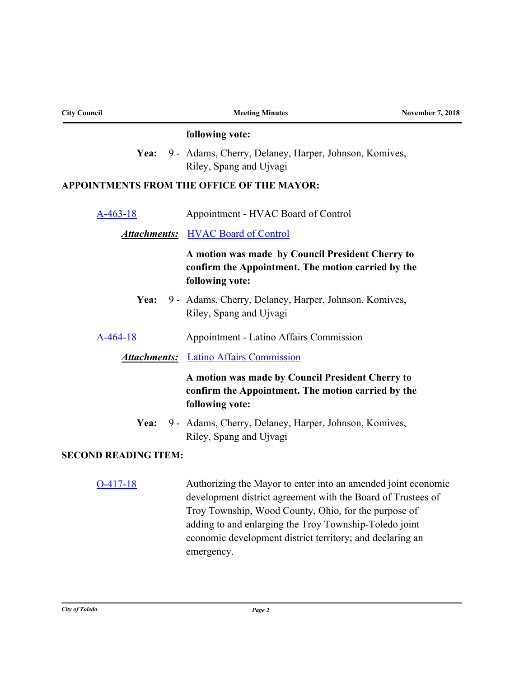| <b>City Council</b>         | <b>Meeting Minutes</b>                                                                                                                                                                                                                                                                                                     | <b>November 7, 2018</b> |
|-----------------------------|----------------------------------------------------------------------------------------------------------------------------------------------------------------------------------------------------------------------------------------------------------------------------------------------------------------------------|-------------------------|
|                             | following vote:                                                                                                                                                                                                                                                                                                            |                         |
|                             | Yea: 9 - Adams, Cherry, Delaney, Harper, Johnson, Komives,<br>Riley, Spang and Ujvagi                                                                                                                                                                                                                                      |                         |
|                             | APPOINTMENTS FROM THE OFFICE OF THE MAYOR:                                                                                                                                                                                                                                                                                 |                         |
| $A-463-18$                  | Appointment - HVAC Board of Control                                                                                                                                                                                                                                                                                        |                         |
|                             | <b>Attachments:</b> HVAC Board of Control                                                                                                                                                                                                                                                                                  |                         |
|                             | A motion was made by Council President Cherry to<br>confirm the Appointment. The motion carried by the<br>following vote:                                                                                                                                                                                                  |                         |
| Yea:                        | 9 - Adams, Cherry, Delaney, Harper, Johnson, Komives,<br>Riley, Spang and Ujvagi                                                                                                                                                                                                                                           |                         |
| $A-464-18$                  | Appointment - Latino Affairs Commission                                                                                                                                                                                                                                                                                    |                         |
|                             | <b>Attachments:</b> Latino Affairs Commission                                                                                                                                                                                                                                                                              |                         |
|                             | A motion was made by Council President Cherry to<br>confirm the Appointment. The motion carried by the<br>following vote:                                                                                                                                                                                                  |                         |
| Yea:                        | 9 - Adams, Cherry, Delaney, Harper, Johnson, Komives,<br>Riley, Spang and Ujvagi                                                                                                                                                                                                                                           |                         |
| <b>SECOND READING ITEM:</b> |                                                                                                                                                                                                                                                                                                                            |                         |
| $O-417-18$                  | Authorizing the Mayor to enter into an amended joint economic<br>development district agreement with the Board of Trustees of<br>Troy Township, Wood County, Ohio, for the purpose of<br>adding to and enlarging the Troy Township-Toledo joint<br>economic development district territory; and declaring an<br>emergency. |                         |
|                             |                                                                                                                                                                                                                                                                                                                            |                         |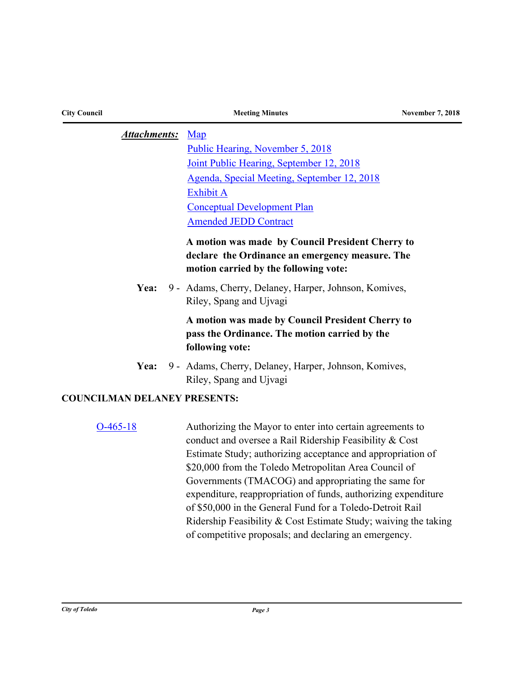| <b>City Council</b>                 | <b>Meeting Minutes</b>                                                                                                                                                                                                                                                                                                                                                                                                                                                                                                                                         | <b>November 7, 2018</b> |
|-------------------------------------|----------------------------------------------------------------------------------------------------------------------------------------------------------------------------------------------------------------------------------------------------------------------------------------------------------------------------------------------------------------------------------------------------------------------------------------------------------------------------------------------------------------------------------------------------------------|-------------------------|
| <b>Attachments:</b>                 | Map<br>Public Hearing, November 5, 2018<br>Joint Public Hearing, September 12, 2018<br>Agenda, Special Meeting, September 12, 2018<br><b>Exhibit A</b><br><b>Conceptual Development Plan</b><br><b>Amended JEDD Contract</b><br>A motion was made by Council President Cherry to<br>declare the Ordinance an emergency measure. The<br>motion carried by the following vote:                                                                                                                                                                                   |                         |
| Yea:                                | 9 - Adams, Cherry, Delaney, Harper, Johnson, Komives,<br>Riley, Spang and Ujvagi<br>A motion was made by Council President Cherry to<br>pass the Ordinance. The motion carried by the<br>following vote:                                                                                                                                                                                                                                                                                                                                                       |                         |
| Yea:                                | 9 - Adams, Cherry, Delaney, Harper, Johnson, Komives,<br>Riley, Spang and Ujvagi                                                                                                                                                                                                                                                                                                                                                                                                                                                                               |                         |
| <b>COUNCILMAN DELANEY PRESENTS:</b> |                                                                                                                                                                                                                                                                                                                                                                                                                                                                                                                                                                |                         |
| $O-465-18$                          | Authorizing the Mayor to enter into certain agreements to<br>conduct and oversee a Rail Ridership Feasibility & Cost<br>Estimate Study; authorizing acceptance and appropriation of<br>\$20,000 from the Toledo Metropolitan Area Council of<br>Governments (TMACOG) and appropriating the same for<br>expenditure, reappropriation of funds, authorizing expenditure<br>of \$50,000 in the General Fund for a Toledo-Detroit Rail<br>Ridership Feasibility & Cost Estimate Study; waiving the taking<br>of competitive proposals; and declaring an emergency. |                         |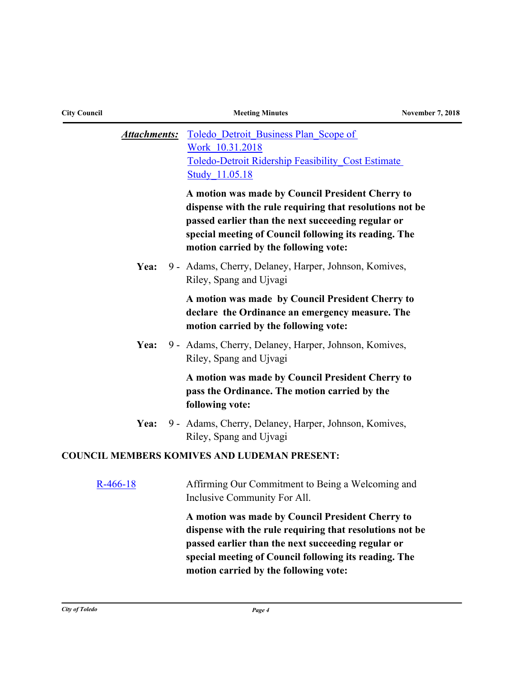| <b>City Council</b> | <b>Meeting Minutes</b>                                                                                                                                                                                                                                               | <b>November 7, 2018</b> |
|---------------------|----------------------------------------------------------------------------------------------------------------------------------------------------------------------------------------------------------------------------------------------------------------------|-------------------------|
| <b>Attachments:</b> | Toledo Detroit Business Plan Scope of<br>Work 10.31.2018<br>Toledo-Detroit Ridership Feasibility Cost Estimate<br><b>Study 11.05.18</b>                                                                                                                              |                         |
|                     | A motion was made by Council President Cherry to<br>dispense with the rule requiring that resolutions not be<br>passed earlier than the next succeeding regular or<br>special meeting of Council following its reading. The<br>motion carried by the following vote: |                         |
| Yea:                | 9 - Adams, Cherry, Delaney, Harper, Johnson, Komives,<br>Riley, Spang and Ujvagi                                                                                                                                                                                     |                         |
|                     | A motion was made by Council President Cherry to<br>declare the Ordinance an emergency measure. The<br>motion carried by the following vote:                                                                                                                         |                         |
| Yea:                | 9 - Adams, Cherry, Delaney, Harper, Johnson, Komives,<br>Riley, Spang and Ujvagi                                                                                                                                                                                     |                         |
|                     | A motion was made by Council President Cherry to<br>pass the Ordinance. The motion carried by the<br>following vote:                                                                                                                                                 |                         |
| Yea:                | 9 - Adams, Cherry, Delaney, Harper, Johnson, Komives,<br>Riley, Spang and Ujvagi                                                                                                                                                                                     |                         |
|                     | <b>COUNCIL MEMBERS KOMIVES AND LUDEMAN PRESENT:</b>                                                                                                                                                                                                                  |                         |
| $R-466-18$          | Affirming Our Commitment to Being a Welcoming and<br>Inclusive Community For All.                                                                                                                                                                                    |                         |
|                     | A motion was made by Council President Cherry to<br>dispense with the rule requiring that resolutions not be<br>passed earlier than the next succeeding regular or<br>special meeting of Council following its reading. The<br>motion carried by the following vote: |                         |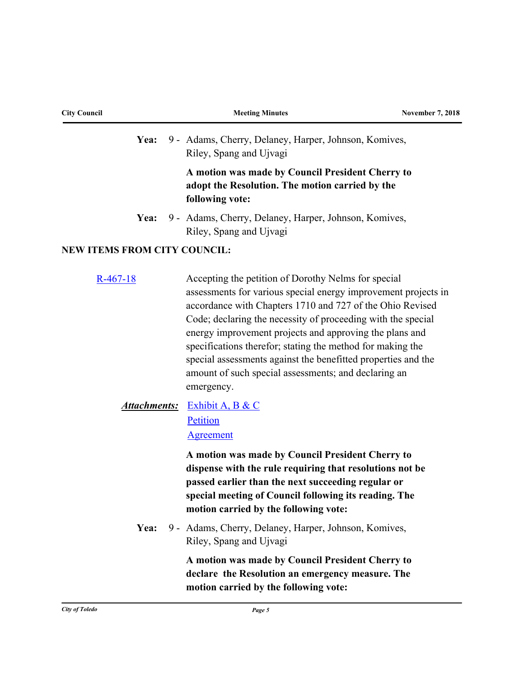| <b>City Council</b>                 | <b>Meeting Minutes</b>                                                                                                                                                                                                                                                                                                                                                                                                                                                                                             | <b>November 7, 2018</b> |
|-------------------------------------|--------------------------------------------------------------------------------------------------------------------------------------------------------------------------------------------------------------------------------------------------------------------------------------------------------------------------------------------------------------------------------------------------------------------------------------------------------------------------------------------------------------------|-------------------------|
| Yea:                                | 9 - Adams, Cherry, Delaney, Harper, Johnson, Komives,<br>Riley, Spang and Ujvagi                                                                                                                                                                                                                                                                                                                                                                                                                                   |                         |
|                                     | A motion was made by Council President Cherry to<br>adopt the Resolution. The motion carried by the<br>following vote:                                                                                                                                                                                                                                                                                                                                                                                             |                         |
| Yea:                                | 9 - Adams, Cherry, Delaney, Harper, Johnson, Komives,<br>Riley, Spang and Ujvagi                                                                                                                                                                                                                                                                                                                                                                                                                                   |                         |
| <b>NEW ITEMS FROM CITY COUNCIL:</b> |                                                                                                                                                                                                                                                                                                                                                                                                                                                                                                                    |                         |
| $R-467-18$                          | Accepting the petition of Dorothy Nelms for special<br>assessments for various special energy improvement projects in<br>accordance with Chapters 1710 and 727 of the Ohio Revised<br>Code; declaring the necessity of proceeding with the special<br>energy improvement projects and approving the plans and<br>specifications therefor; stating the method for making the<br>special assessments against the benefitted properties and the<br>amount of such special assessments; and declaring an<br>emergency. |                         |
| <b>Attachments:</b>                 | Exhibit A, B & C<br>Petition<br><b>Agreement</b>                                                                                                                                                                                                                                                                                                                                                                                                                                                                   |                         |
|                                     | A motion was made by Council President Cherry to<br>dispense with the rule requiring that resolutions not be<br>passed earlier than the next succeeding regular or<br>special meeting of Council following its reading. The<br>motion carried by the following vote:                                                                                                                                                                                                                                               |                         |
| Yea:                                | 9 - Adams, Cherry, Delaney, Harper, Johnson, Komives,<br>Riley, Spang and Ujvagi                                                                                                                                                                                                                                                                                                                                                                                                                                   |                         |
|                                     | A motion was made by Council President Cherry to<br>declare the Resolution an emergency measure. The<br>motion carried by the following vote:                                                                                                                                                                                                                                                                                                                                                                      |                         |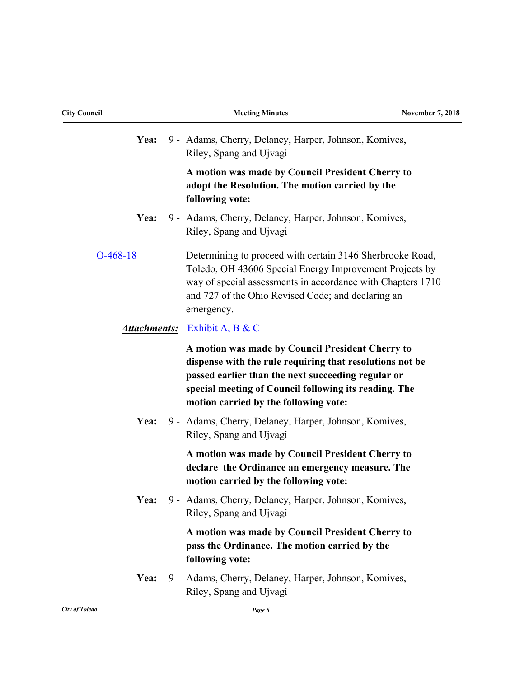| <b>City Council</b> | <b>Meeting Minutes</b>                                                                                                                                                                                                                                               | <b>November 7, 2018</b> |
|---------------------|----------------------------------------------------------------------------------------------------------------------------------------------------------------------------------------------------------------------------------------------------------------------|-------------------------|
| Yea:                | 9 - Adams, Cherry, Delaney, Harper, Johnson, Komives,<br>Riley, Spang and Ujvagi                                                                                                                                                                                     |                         |
|                     | A motion was made by Council President Cherry to<br>adopt the Resolution. The motion carried by the<br>following vote:                                                                                                                                               |                         |
| Yea:                | 9 - Adams, Cherry, Delaney, Harper, Johnson, Komives,<br>Riley, Spang and Ujvagi                                                                                                                                                                                     |                         |
| $O-468-18$          | Determining to proceed with certain 3146 Sherbrooke Road,<br>Toledo, OH 43606 Special Energy Improvement Projects by<br>way of special assessments in accordance with Chapters 1710<br>and 727 of the Ohio Revised Code; and declaring an<br>emergency.              |                         |
|                     | <b>Attachments:</b> Exhibit A, B & C                                                                                                                                                                                                                                 |                         |
|                     | A motion was made by Council President Cherry to<br>dispense with the rule requiring that resolutions not be<br>passed earlier than the next succeeding regular or<br>special meeting of Council following its reading. The<br>motion carried by the following vote: |                         |
| Yea:                | 9 - Adams, Cherry, Delaney, Harper, Johnson, Komives,<br>Riley, Spang and Ujvagi                                                                                                                                                                                     |                         |
|                     | A motion was made by Council President Cherry to<br>declare the Ordinance an emergency measure. The<br>motion carried by the following vote:                                                                                                                         |                         |
| Yea:                | 9 - Adams, Cherry, Delaney, Harper, Johnson, Komives,<br>Riley, Spang and Ujvagi                                                                                                                                                                                     |                         |
|                     | A motion was made by Council President Cherry to<br>pass the Ordinance. The motion carried by the<br>following vote:                                                                                                                                                 |                         |
| Yea:                | 9 - Adams, Cherry, Delaney, Harper, Johnson, Komives,<br>Riley, Spang and Ujvagi                                                                                                                                                                                     |                         |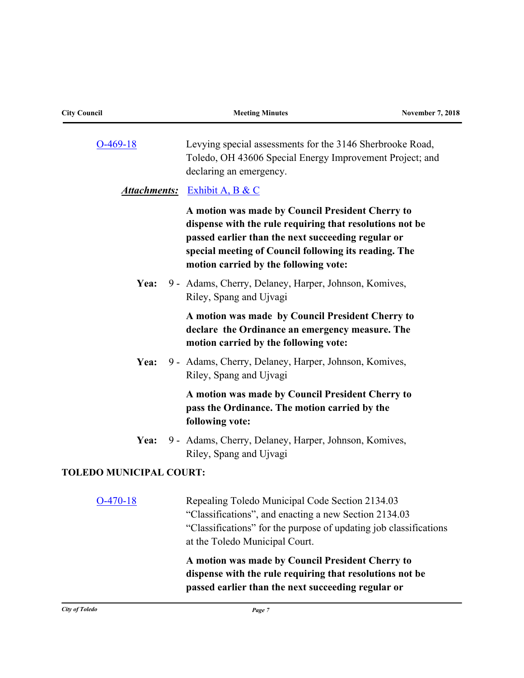| <b>City Council</b>            | <b>Meeting Minutes</b>                                                                                                                                                                                                                                               | <b>November 7, 2018</b> |
|--------------------------------|----------------------------------------------------------------------------------------------------------------------------------------------------------------------------------------------------------------------------------------------------------------------|-------------------------|
| $O-469-18$                     | Levying special assessments for the 3146 Sherbrooke Road,<br>Toledo, OH 43606 Special Energy Improvement Project; and<br>declaring an emergency.                                                                                                                     |                         |
|                                | <b>Attachments:</b> Exhibit A, B & C                                                                                                                                                                                                                                 |                         |
|                                | A motion was made by Council President Cherry to<br>dispense with the rule requiring that resolutions not be<br>passed earlier than the next succeeding regular or<br>special meeting of Council following its reading. The<br>motion carried by the following vote: |                         |
| Yea:                           | 9 - Adams, Cherry, Delaney, Harper, Johnson, Komives,<br>Riley, Spang and Ujvagi                                                                                                                                                                                     |                         |
|                                | A motion was made by Council President Cherry to<br>declare the Ordinance an emergency measure. The<br>motion carried by the following vote:                                                                                                                         |                         |
| Yea:                           | 9 - Adams, Cherry, Delaney, Harper, Johnson, Komives,<br>Riley, Spang and Ujvagi                                                                                                                                                                                     |                         |
|                                | A motion was made by Council President Cherry to<br>pass the Ordinance. The motion carried by the<br>following vote:                                                                                                                                                 |                         |
| Yea:                           | 9 - Adams, Cherry, Delaney, Harper, Johnson, Komives,<br>Riley, Spang and Ujvagi                                                                                                                                                                                     |                         |
| <b>TOLEDO MUNICIPAL COURT:</b> |                                                                                                                                                                                                                                                                      |                         |
| $O-470-18$                     | Repealing Toledo Municipal Code Section 2134.03<br>"Classifications", and enacting a new Section 2134.03<br>"Classifications" for the purpose of updating job classifications<br>at the Toledo Municipal Court.                                                      |                         |
|                                | A motion was made by Council President Cherry to<br>dispense with the rule requiring that resolutions not be<br>passed earlier than the next succeeding regular or                                                                                                   |                         |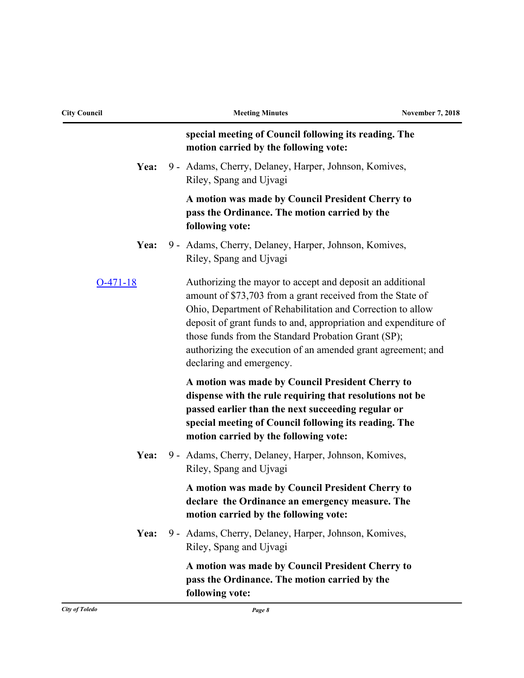| <b>City Council</b> | <b>Meeting Minutes</b>                                                                                                                                                                                                                                                                                                                                                                                      | <b>November 7, 2018</b> |
|---------------------|-------------------------------------------------------------------------------------------------------------------------------------------------------------------------------------------------------------------------------------------------------------------------------------------------------------------------------------------------------------------------------------------------------------|-------------------------|
|                     | special meeting of Council following its reading. The<br>motion carried by the following vote:                                                                                                                                                                                                                                                                                                              |                         |
| Yea:                | 9 - Adams, Cherry, Delaney, Harper, Johnson, Komives,<br>Riley, Spang and Ujvagi                                                                                                                                                                                                                                                                                                                            |                         |
|                     | A motion was made by Council President Cherry to<br>pass the Ordinance. The motion carried by the<br>following vote:                                                                                                                                                                                                                                                                                        |                         |
| Yea:                | 9 - Adams, Cherry, Delaney, Harper, Johnson, Komives,<br>Riley, Spang and Ujvagi                                                                                                                                                                                                                                                                                                                            |                         |
| $O-471-18$          | Authorizing the mayor to accept and deposit an additional<br>amount of \$73,703 from a grant received from the State of<br>Ohio, Department of Rehabilitation and Correction to allow<br>deposit of grant funds to and, appropriation and expenditure of<br>those funds from the Standard Probation Grant (SP);<br>authorizing the execution of an amended grant agreement; and<br>declaring and emergency. |                         |
|                     | A motion was made by Council President Cherry to<br>dispense with the rule requiring that resolutions not be<br>passed earlier than the next succeeding regular or<br>special meeting of Council following its reading. The<br>motion carried by the following vote:                                                                                                                                        |                         |
| Yea:                | 9 - Adams, Cherry, Delaney, Harper, Johnson, Komives,<br>Riley, Spang and Ujvagi                                                                                                                                                                                                                                                                                                                            |                         |
|                     | A motion was made by Council President Cherry to<br>declare the Ordinance an emergency measure. The<br>motion carried by the following vote:                                                                                                                                                                                                                                                                |                         |
| Yea:                | 9 - Adams, Cherry, Delaney, Harper, Johnson, Komives,<br>Riley, Spang and Ujvagi                                                                                                                                                                                                                                                                                                                            |                         |
|                     | A motion was made by Council President Cherry to<br>pass the Ordinance. The motion carried by the<br>following vote:                                                                                                                                                                                                                                                                                        |                         |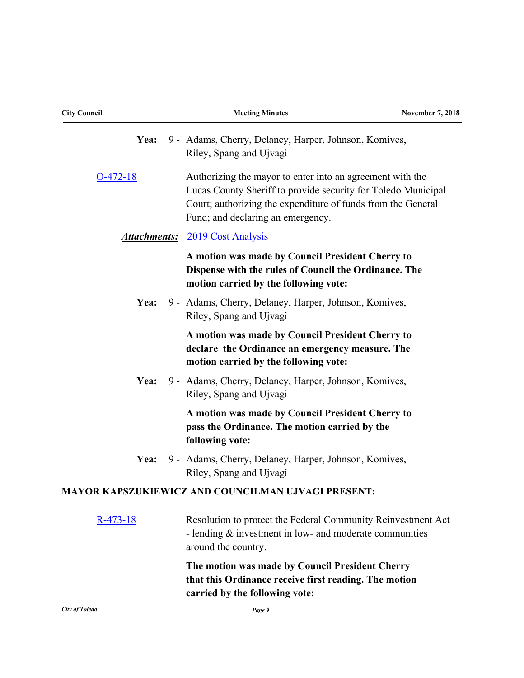| <b>City Council</b> | <b>Meeting Minutes</b>                                                                                                                                                                                                          | <b>November 7, 2018</b> |
|---------------------|---------------------------------------------------------------------------------------------------------------------------------------------------------------------------------------------------------------------------------|-------------------------|
| Yea:                | 9 - Adams, Cherry, Delaney, Harper, Johnson, Komives,<br>Riley, Spang and Ujvagi                                                                                                                                                |                         |
| $O-472-18$          | Authorizing the mayor to enter into an agreement with the<br>Lucas County Sheriff to provide security for Toledo Municipal<br>Court; authorizing the expenditure of funds from the General<br>Fund; and declaring an emergency. |                         |
|                     | <b>Attachments:</b> 2019 Cost Analysis                                                                                                                                                                                          |                         |
|                     | A motion was made by Council President Cherry to<br>Dispense with the rules of Council the Ordinance. The<br>motion carried by the following vote:                                                                              |                         |
| Yea:                | 9 - Adams, Cherry, Delaney, Harper, Johnson, Komives,<br>Riley, Spang and Ujvagi                                                                                                                                                |                         |
|                     | A motion was made by Council President Cherry to<br>declare the Ordinance an emergency measure. The<br>motion carried by the following vote:                                                                                    |                         |
| Yea:                | 9 - Adams, Cherry, Delaney, Harper, Johnson, Komives,<br>Riley, Spang and Ujvagi                                                                                                                                                |                         |
|                     | A motion was made by Council President Cherry to<br>pass the Ordinance. The motion carried by the<br>following vote:                                                                                                            |                         |
| Yea:                | 9 - Adams, Cherry, Delaney, Harper, Johnson, Komives,<br>Riley, Spang and Ujvagi                                                                                                                                                |                         |
|                     | MAYOR KAPSZUKIEWICZ AND COUNCILMAN UJVAGI PRESENT:                                                                                                                                                                              |                         |
| $R-473-18$          | Resolution to protect the Federal Community Reinvestment Act<br>- lending $&$ investment in low- and moderate communities<br>around the country.                                                                                |                         |
|                     | The motion was made by Council President Cherry<br>that this Ordinance receive first reading. The motion<br>carried by the following vote:                                                                                      |                         |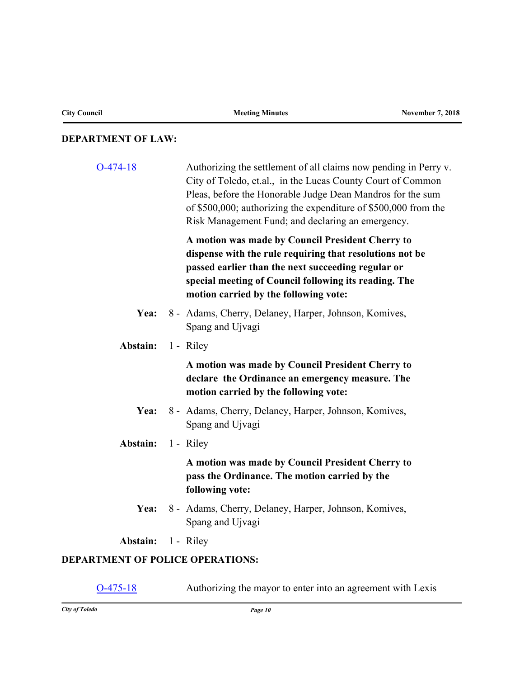# **DEPARTMENT OF LAW:**

| $O-474-18$                              | Authorizing the settlement of all claims now pending in Perry v.<br>City of Toledo, et.al., in the Lucas County Court of Common<br>Pleas, before the Honorable Judge Dean Mandros for the sum<br>of \$500,000; authorizing the expenditure of \$500,000 from the<br>Risk Management Fund; and declaring an emergency. |
|-----------------------------------------|-----------------------------------------------------------------------------------------------------------------------------------------------------------------------------------------------------------------------------------------------------------------------------------------------------------------------|
|                                         | A motion was made by Council President Cherry to<br>dispense with the rule requiring that resolutions not be<br>passed earlier than the next succeeding regular or<br>special meeting of Council following its reading. The<br>motion carried by the following vote:                                                  |
| Yea:                                    | 8 - Adams, Cherry, Delaney, Harper, Johnson, Komives,<br>Spang and Ujvagi                                                                                                                                                                                                                                             |
| Abstain:                                | 1 - Riley                                                                                                                                                                                                                                                                                                             |
|                                         | A motion was made by Council President Cherry to<br>declare the Ordinance an emergency measure. The<br>motion carried by the following vote:                                                                                                                                                                          |
|                                         | Yea: 8 - Adams, Cherry, Delaney, Harper, Johnson, Komives,<br>Spang and Ujvagi                                                                                                                                                                                                                                        |
| <b>Abstain:</b> 1 - Riley               |                                                                                                                                                                                                                                                                                                                       |
|                                         | A motion was made by Council President Cherry to<br>pass the Ordinance. The motion carried by the<br>following vote:                                                                                                                                                                                                  |
| Yea:                                    | 8 - Adams, Cherry, Delaney, Harper, Johnson, Komives,<br>Spang and Ujvagi                                                                                                                                                                                                                                             |
| <b>Abstain:</b> 1 - Riley               |                                                                                                                                                                                                                                                                                                                       |
| <b>DEPARTMENT OF POLICE OPERATIONS:</b> |                                                                                                                                                                                                                                                                                                                       |

[O-475-18](http://toledo.legistar.com/gateway.aspx?m=l&id=/matter.aspx?key=32124) Authorizing the mayor to enter into an agreement with Lexis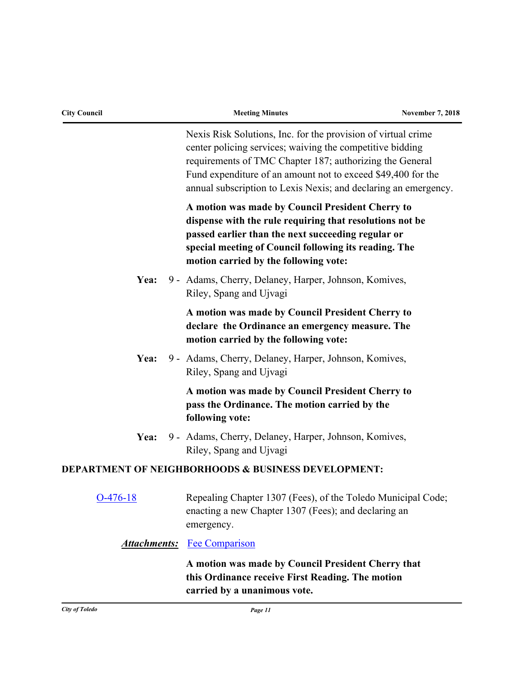| <b>City Council</b> | <b>Meeting Minutes</b>                                                                                                                                                                                                                                                                                                    | <b>November 7, 2018</b> |
|---------------------|---------------------------------------------------------------------------------------------------------------------------------------------------------------------------------------------------------------------------------------------------------------------------------------------------------------------------|-------------------------|
|                     | Nexis Risk Solutions, Inc. for the provision of virtual crime<br>center policing services; waiving the competitive bidding<br>requirements of TMC Chapter 187; authorizing the General<br>Fund expenditure of an amount not to exceed \$49,400 for the<br>annual subscription to Lexis Nexis; and declaring an emergency. |                         |
|                     | A motion was made by Council President Cherry to<br>dispense with the rule requiring that resolutions not be<br>passed earlier than the next succeeding regular or<br>special meeting of Council following its reading. The<br>motion carried by the following vote:                                                      |                         |
| Yea:                | 9 - Adams, Cherry, Delaney, Harper, Johnson, Komives,<br>Riley, Spang and Ujvagi                                                                                                                                                                                                                                          |                         |
|                     | A motion was made by Council President Cherry to<br>declare the Ordinance an emergency measure. The<br>motion carried by the following vote:                                                                                                                                                                              |                         |
| Yea:                | 9 - Adams, Cherry, Delaney, Harper, Johnson, Komives,<br>Riley, Spang and Ujvagi                                                                                                                                                                                                                                          |                         |
|                     | A motion was made by Council President Cherry to<br>pass the Ordinance. The motion carried by the<br>following vote:                                                                                                                                                                                                      |                         |
| Yea:                | 9 - Adams, Cherry, Delaney, Harper, Johnson, Komives,<br>Riley, Spang and Ujvagi                                                                                                                                                                                                                                          |                         |
|                     | <b>DEPARTMENT OF NEIGHBORHOODS &amp; BUSINESS DEVELOPMENT:</b>                                                                                                                                                                                                                                                            |                         |
| $O-476-18$          | Repealing Chapter 1307 (Fees), of the Toledo Municipal Code;<br>enacting a new Chapter 1307 (Fees); and declaring an<br>emergency.                                                                                                                                                                                        |                         |
| <b>Attachments:</b> | <b>Fee Comparison</b>                                                                                                                                                                                                                                                                                                     |                         |
|                     | A motion was made by Council President Cherry that<br>this Ordinance receive First Reading. The motion<br>carried by a unanimous vote.                                                                                                                                                                                    |                         |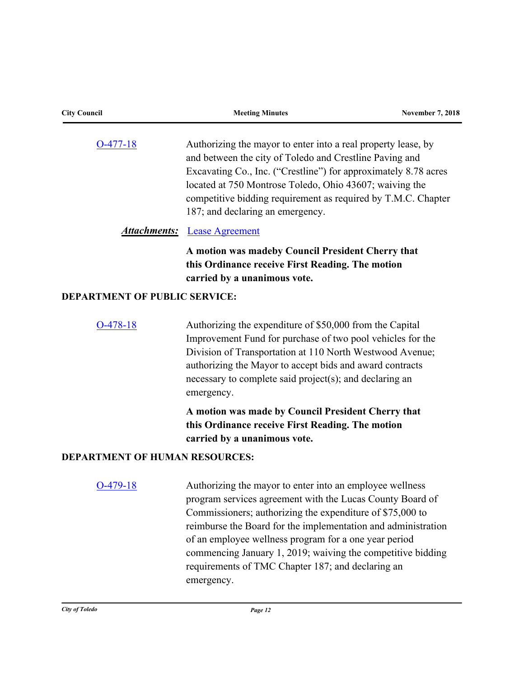| <b>City Council</b>                   | <b>Meeting Minutes</b>                                                                                                                                                                                                                                                                                                                                                                                                                         | <b>November 7, 2018</b> |
|---------------------------------------|------------------------------------------------------------------------------------------------------------------------------------------------------------------------------------------------------------------------------------------------------------------------------------------------------------------------------------------------------------------------------------------------------------------------------------------------|-------------------------|
| $O-477-18$                            | Authorizing the mayor to enter into a real property lease, by<br>and between the city of Toledo and Crestline Paving and<br>Excavating Co., Inc. ("Crestline") for approximately 8.78 acres<br>located at 750 Montrose Toledo, Ohio 43607; waiving the<br>competitive bidding requirement as required by T.M.C. Chapter<br>187; and declaring an emergency.                                                                                    |                         |
|                                       | <b>Attachments:</b> Lease Agreement                                                                                                                                                                                                                                                                                                                                                                                                            |                         |
|                                       | A motion was madeby Council President Cherry that<br>this Ordinance receive First Reading. The motion<br>carried by a unanimous vote.                                                                                                                                                                                                                                                                                                          |                         |
| <b>DEPARTMENT OF PUBLIC SERVICE:</b>  |                                                                                                                                                                                                                                                                                                                                                                                                                                                |                         |
| $O-478-18$                            | Authorizing the expenditure of \$50,000 from the Capital<br>Improvement Fund for purchase of two pool vehicles for the<br>Division of Transportation at 110 North Westwood Avenue;<br>authorizing the Mayor to accept bids and award contracts<br>necessary to complete said project(s); and declaring an<br>emergency.                                                                                                                        |                         |
|                                       | A motion was made by Council President Cherry that<br>this Ordinance receive First Reading. The motion<br>carried by a unanimous vote.                                                                                                                                                                                                                                                                                                         |                         |
| <b>DEPARTMENT OF HUMAN RESOURCES:</b> |                                                                                                                                                                                                                                                                                                                                                                                                                                                |                         |
| $O-479-18$                            | Authorizing the mayor to enter into an employee wellness<br>program services agreement with the Lucas County Board of<br>Commissioners; authorizing the expenditure of \$75,000 to<br>reimburse the Board for the implementation and administration<br>of an employee wellness program for a one year period<br>commencing January 1, 2019; waiving the competitive bidding<br>requirements of TMC Chapter 187; and declaring an<br>emergency. |                         |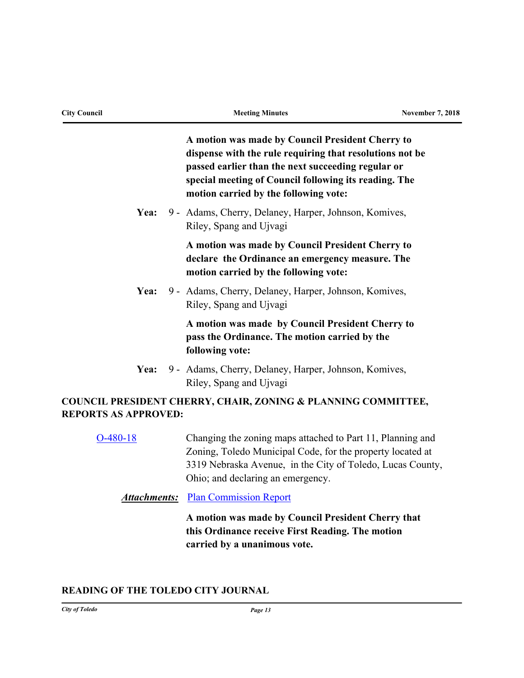| <b>City Council</b>         |  | <b>Meeting Minutes</b>                                                                                                                                                                                                                                               | <b>November 7, 2018</b> |
|-----------------------------|--|----------------------------------------------------------------------------------------------------------------------------------------------------------------------------------------------------------------------------------------------------------------------|-------------------------|
|                             |  | A motion was made by Council President Cherry to<br>dispense with the rule requiring that resolutions not be<br>passed earlier than the next succeeding regular or<br>special meeting of Council following its reading. The<br>motion carried by the following vote: |                         |
| Yea:                        |  | 9 - Adams, Cherry, Delaney, Harper, Johnson, Komives,<br>Riley, Spang and Ujvagi                                                                                                                                                                                     |                         |
|                             |  | A motion was made by Council President Cherry to<br>declare the Ordinance an emergency measure. The<br>motion carried by the following vote:                                                                                                                         |                         |
| Yea:                        |  | 9 - Adams, Cherry, Delaney, Harper, Johnson, Komives,<br>Riley, Spang and Ujvagi                                                                                                                                                                                     |                         |
|                             |  | A motion was made by Council President Cherry to<br>pass the Ordinance. The motion carried by the<br>following vote:                                                                                                                                                 |                         |
| Yea:                        |  | 9 - Adams, Cherry, Delaney, Harper, Johnson, Komives,<br>Riley, Spang and Ujvagi                                                                                                                                                                                     |                         |
| <b>REPORTS AS APPROVED:</b> |  | COUNCIL PRESIDENT CHERRY, CHAIR, ZONING & PLANNING COMMITTEE,                                                                                                                                                                                                        |                         |
| $O-480-18$                  |  | Changing the zoning maps attached to Part 11, Planning and<br>Zoning, Toledo Municipal Code, for the property located at<br>3319 Nebraska Avenue, in the City of Toledo, Lucas County,<br>Ohio; and declaring an emergency.                                          |                         |

**Attachments:** [Plan Commission Report](http://toledo.legistar.com/gateway.aspx?M=F&ID=018d20e7-e626-41ab-8cc2-916e0933950f.pdf)

**A motion was made by Council President Cherry that this Ordinance receive First Reading. The motion carried by a unanimous vote.**

## **READING OF THE TOLEDO CITY JOURNAL**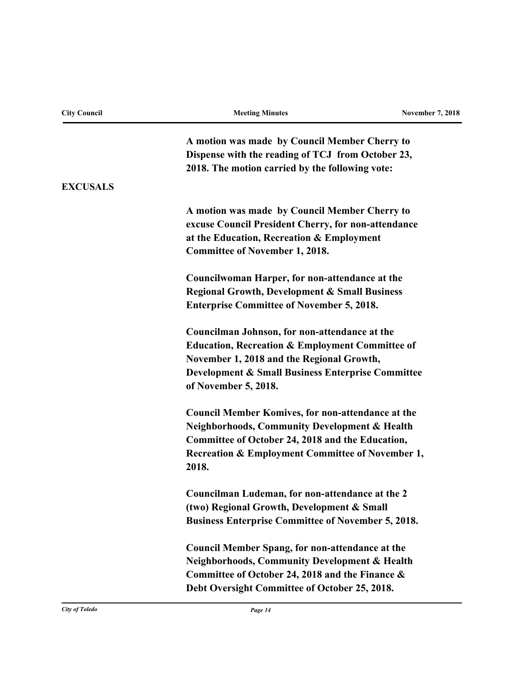| <b>City Council</b> | <b>Meeting Minutes</b>                                                               | <b>November 7, 2018</b> |  |  |
|---------------------|--------------------------------------------------------------------------------------|-------------------------|--|--|
|                     | A motion was made by Council Member Cherry to                                        |                         |  |  |
|                     | Dispense with the reading of TCJ from October 23,                                    |                         |  |  |
|                     | 2018. The motion carried by the following vote:                                      |                         |  |  |
| <b>EXCUSALS</b>     |                                                                                      |                         |  |  |
|                     | A motion was made by Council Member Cherry to                                        |                         |  |  |
|                     | excuse Council President Cherry, for non-attendance                                  |                         |  |  |
|                     | at the Education, Recreation & Employment                                            |                         |  |  |
|                     | <b>Committee of November 1, 2018.</b>                                                |                         |  |  |
|                     | Councilwoman Harper, for non-attendance at the                                       |                         |  |  |
|                     | <b>Regional Growth, Development &amp; Small Business</b>                             |                         |  |  |
|                     | <b>Enterprise Committee of November 5, 2018.</b>                                     |                         |  |  |
|                     | Councilman Johnson, for non-attendance at the                                        |                         |  |  |
|                     | <b>Education, Recreation &amp; Employment Committee of</b>                           |                         |  |  |
|                     | November 1, 2018 and the Regional Growth,                                            |                         |  |  |
|                     | <b>Development &amp; Small Business Enterprise Committee</b><br>of November 5, 2018. |                         |  |  |
|                     |                                                                                      |                         |  |  |
|                     | <b>Council Member Komives, for non-attendance at the</b>                             |                         |  |  |
|                     | <b>Neighborhoods, Community Development &amp; Health</b>                             |                         |  |  |
|                     | Committee of October 24, 2018 and the Education,                                     |                         |  |  |
|                     | <b>Recreation &amp; Employment Committee of November 1,</b><br>2018.                 |                         |  |  |
|                     | Councilman Ludeman, for non-attendance at the 2                                      |                         |  |  |
|                     | (two) Regional Growth, Development & Small                                           |                         |  |  |
|                     | <b>Business Enterprise Committee of November 5, 2018.</b>                            |                         |  |  |
|                     | <b>Council Member Spang, for non-attendance at the</b>                               |                         |  |  |
|                     | <b>Neighborhoods, Community Development &amp; Health</b>                             |                         |  |  |
|                     | Committee of October 24, 2018 and the Finance &                                      |                         |  |  |
|                     | Debt Oversight Committee of October 25, 2018.                                        |                         |  |  |